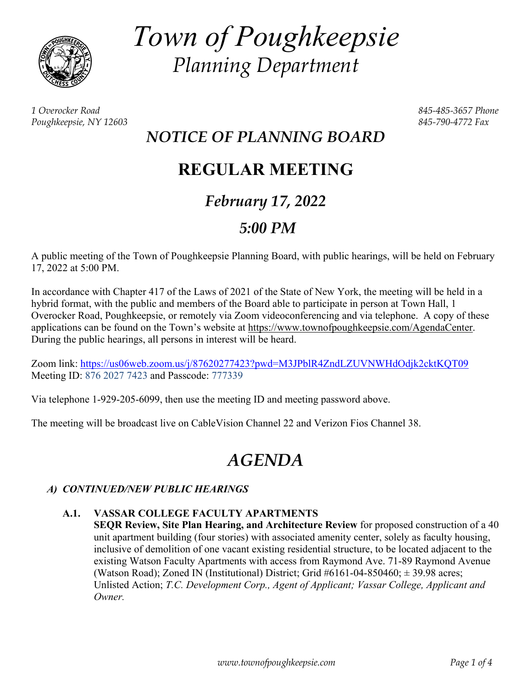

*Town of Poughkeepsie Planning Department* 

*1 Overocker Road 845-485-3657 Phone Poughkeepsie, NY 12603 845-790-4772 Fax* 

# *NOTICE OF PLANNING BOARD*

# **REGULAR MEETING**

# *February 17, 2022*

# *5:00 PM*

A public meeting of the Town of Poughkeepsie Planning Board, with public hearings, will be held on February 17, 2022 at 5:00 PM.

In accordance with Chapter 417 of the Laws of 2021 of the State of New York, the meeting will be held in a hybrid format, with the public and members of the Board able to participate in person at Town Hall, 1 Overocker Road, Poughkeepsie, or remotely via Zoom videoconferencing and via telephone. A copy of these applications can be found on the Town's website at https://www.townofpoughkeepsie.com/AgendaCenter. During the public hearings, all persons in interest will be heard.

Zoom link: https://us06web.zoom.us/j/87620277423?pwd=M3JPblR4ZndLZUVNWHdOdjk2cktKQT09 Meeting ID: 876 2027 7423 and Passcode: 777339

Via telephone 1-929-205-6099, then use the meeting ID and meeting password above.

The meeting will be broadcast live on CableVision Channel 22 and Verizon Fios Channel 38.

# *AGENDA*

# *A) CONTINUED/NEW PUBLIC HEARINGS*

# **A.1. VASSAR COLLEGE FACULTY APARTMENTS**

**SEQR Review, Site Plan Hearing, and Architecture Review** for proposed construction of a 40 unit apartment building (four stories) with associated amenity center, solely as faculty housing, inclusive of demolition of one vacant existing residential structure, to be located adjacent to the existing Watson Faculty Apartments with access from Raymond Ave. 71-89 Raymond Avenue (Watson Road); Zoned IN (Institutional) District; Grid  $#6161-04-850460; \pm 39.98$  acres; Unlisted Action; *T.C. Development Corp., Agent of Applicant; Vassar College, Applicant and Owner.*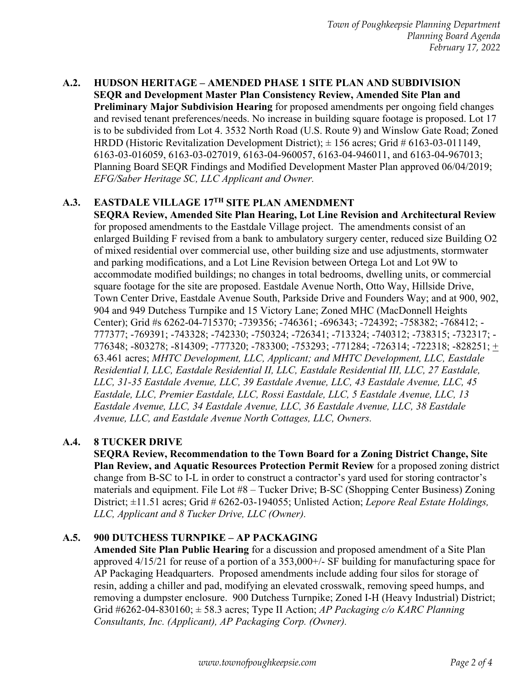**A.2. HUDSON HERITAGE – AMENDED PHASE 1 SITE PLAN AND SUBDIVISION SEQR and Development Master Plan Consistency Review, Amended Site Plan and Preliminary Major Subdivision Hearing** for proposed amendments per ongoing field changes and revised tenant preferences/needs. No increase in building square footage is proposed. Lot 17 is to be subdivided from Lot 4. 3532 North Road (U.S. Route 9) and Winslow Gate Road; Zoned HRDD (Historic Revitalization Development District);  $\pm$  156 acres; Grid # 6163-03-011149, 6163-03-016059, 6163-03-027019, 6163-04-960057, 6163-04-946011, and 6163-04-967013; Planning Board SEQR Findings and Modified Development Master Plan approved 06/04/2019; *EFG/Saber Heritage SC, LLC Applicant and Owner.* 

#### **A.3. EASTDALE VILLAGE 17TH SITE PLAN AMENDMENT**

**SEQRA Review, Amended Site Plan Hearing, Lot Line Revision and Architectural Review**  for proposed amendments to the Eastdale Village project. The amendments consist of an enlarged Building F revised from a bank to ambulatory surgery center, reduced size Building O2 of mixed residential over commercial use, other building size and use adjustments, stormwater and parking modifications, and a Lot Line Revision between Ortega Lot and Lot 9W to accommodate modified buildings; no changes in total bedrooms, dwelling units, or commercial square footage for the site are proposed. Eastdale Avenue North, Otto Way, Hillside Drive, Town Center Drive, Eastdale Avenue South, Parkside Drive and Founders Way; and at 900, 902, 904 and 949 Dutchess Turnpike and 15 Victory Lane; Zoned MHC (MacDonnell Heights Center); Grid #s 6262-04-715370; -739356; -746361; -696343; -724392; -758382; -768412; - 777377; -769391; -743328; -742330; -750324; -726341; -713324; -740312; -738315; -732317; - 776348; -803278; -814309; -777320; -783300; -753293; -771284; -726314; -722318; -828251; + 63.461 acres; *MHTC Development, LLC, Applicant; and MHTC Development, LLC, Eastdale Residential I, LLC, Eastdale Residential II, LLC, Eastdale Residential III, LLC, 27 Eastdale, LLC, 31-35 Eastdale Avenue, LLC, 39 Eastdale Avenue, LLC, 43 Eastdale Avenue, LLC, 45 Eastdale, LLC, Premier Eastdale, LLC, Rossi Eastdale, LLC, 5 Eastdale Avenue, LLC, 13 Eastdale Avenue, LLC, 34 Eastdale Avenue, LLC, 36 Eastdale Avenue, LLC, 38 Eastdale Avenue, LLC, and Eastdale Avenue North Cottages, LLC, Owners.* 

### **A.4. 8 TUCKER DRIVE**

**SEQRA Review, Recommendation to the Town Board for a Zoning District Change, Site Plan Review, and Aquatic Resources Protection Permit Review** for a proposed zoning district change from B-SC to I-L in order to construct a contractor's yard used for storing contractor's materials and equipment. File Lot #8 – Tucker Drive; B-SC (Shopping Center Business) Zoning District; ±11.51 acres; Grid # 6262-03-194055; Unlisted Action; *Lepore Real Estate Holdings, LLC, Applicant and 8 Tucker Drive, LLC (Owner).* 

### **A.5. 900 DUTCHESS TURNPIKE – AP PACKAGING**

**Amended Site Plan Public Hearing** for a discussion and proposed amendment of a Site Plan approved  $4/15/21$  for reuse of a portion of a  $353,000+\prime$ -SF building for manufacturing space for AP Packaging Headquarters. Proposed amendments include adding four silos for storage of resin, adding a chiller and pad, modifying an elevated crosswalk, removing speed humps, and removing a dumpster enclosure. 900 Dutchess Turnpike; Zoned I-H (Heavy Industrial) District; Grid #6262-04-830160; ± 58.3 acres; Type II Action; *AP Packaging c/o KARC Planning Consultants, Inc. (Applicant), AP Packaging Corp. (Owner).*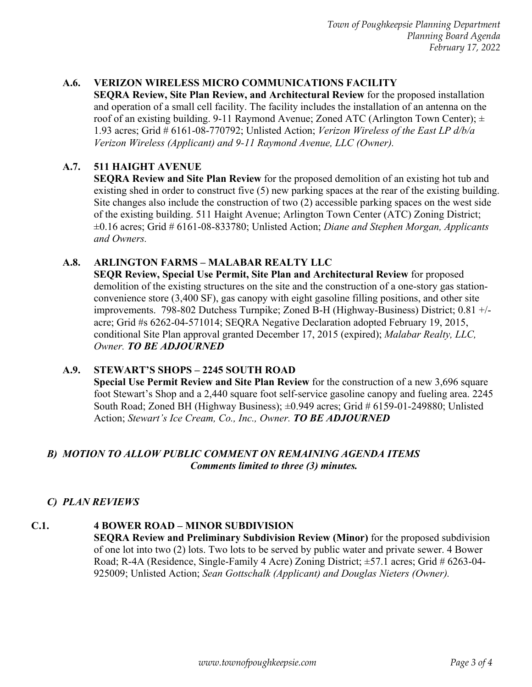# **A.6. VERIZON WIRELESS MICRO COMMUNICATIONS FACILITY**

**SEQRA Review, Site Plan Review, and Architectural Review** for the proposed installation and operation of a small cell facility. The facility includes the installation of an antenna on the roof of an existing building. 9-11 Raymond Avenue; Zoned ATC (Arlington Town Center);  $\pm$ 1.93 acres; Grid # 6161-08-770792; Unlisted Action; *Verizon Wireless of the East LP d/b/a Verizon Wireless (Applicant) and 9-11 Raymond Avenue, LLC (Owner).*

# **A.7. 511 HAIGHT AVENUE**

**SEQRA Review and Site Plan Review** for the proposed demolition of an existing hot tub and existing shed in order to construct five (5) new parking spaces at the rear of the existing building. Site changes also include the construction of two (2) accessible parking spaces on the west side of the existing building. 511 Haight Avenue; Arlington Town Center (ATC) Zoning District; ±0.16 acres; Grid # 6161-08-833780; Unlisted Action; *Diane and Stephen Morgan, Applicants and Owners.*

### **A.8. ARLINGTON FARMS – MALABAR REALTY LLC**

**SEQR Review, Special Use Permit, Site Plan and Architectural Review** for proposed demolition of the existing structures on the site and the construction of a one-story gas stationconvenience store (3,400 SF), gas canopy with eight gasoline filling positions, and other site improvements. 798-802 Dutchess Turnpike; Zoned B-H (Highway-Business) District; 0.81 +/ acre; Grid #s 6262-04-571014; SEQRA Negative Declaration adopted February 19, 2015, conditional Site Plan approval granted December 17, 2015 (expired); *Malabar Realty, LLC, Owner. TO BE ADJOURNED* 

### **A.9. STEWART'S SHOPS – 2245 SOUTH ROAD**

**Special Use Permit Review and Site Plan Review** for the construction of a new 3,696 square foot Stewart's Shop and a 2,440 square foot self-service gasoline canopy and fueling area. 2245 South Road; Zoned BH (Highway Business);  $\pm 0.949$  acres; Grid # 6159-01-249880; Unlisted Action; *Stewart's Ice Cream, Co., Inc., Owner. TO BE ADJOURNED* 

## *B) MOTION TO ALLOW PUBLIC COMMENT ON REMAINING AGENDA ITEMS Comments limited to three (3) minutes.*

# *C) PLAN REVIEWS*

#### **C.1. 4 BOWER ROAD – MINOR SUBDIVISION SEQRA Review and Preliminary Subdivision Review (Minor)** for the proposed subdivision of one lot into two (2) lots. Two lots to be served by public water and private sewer. 4 Bower Road; R-4A (Residence, Single-Family 4 Acre) Zoning District; ±57.1 acres; Grid # 6263-04- 925009; Unlisted Action; *Sean Gottschalk (Applicant) and Douglas Nieters (Owner).*